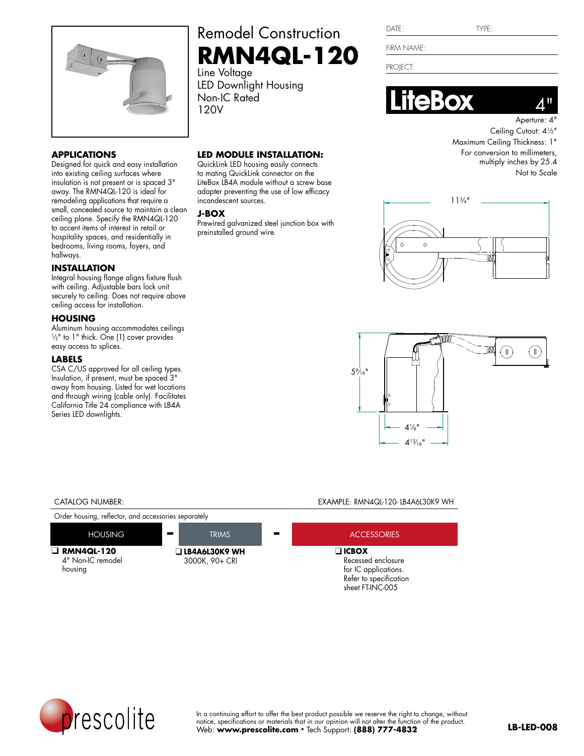

## **APPLICATIONS**

Designed for quick and easy installation into existing ceiling surfaces where insulation is not present or is spaced 3" away. The RMN4QL-120 is ideal for remodeling applications that require a small, concealed source to maintain a clean ceiling plane. Specify the RMN4QL-120 to accent items of interest in retail or hospitality spaces, and residentially in bedrooms, living rooms, foyers, and hallways.

## **INSTALLATION**

Integral housing flange aligns fixture flush with ceiling. Adjustable bars lock unit securely to ceiling. Does not require above ceiling access for installation.

## **HOUSING**

Aluminum housing accommodates ceilings  $\frac{1}{2}$ " to 1" thick. One (1) cover provides easy access to splices.

### **LABELS**

CSA C/US approved for all ceiling types. Insulation, if present, must be spaced 3" away from housing. Listed for wet locations and through wiring (cable only). Facilitates California Title 24 compliance with LB4A Series LED downlights.

# Remodel Construction **RMN4QL-120**

Line Voltage LED Downlight Housing Non-IC Rated 120V

## **LED MODULE INSTALLATION:**

QuickLink LED housing easily connects to mating QuickLink connector on the LiteBox LB4A module without a screw base adapter preventing the use of low efficacy incandescent sources.

### **J-BOX**

Prewired galvanized steel junction box with preinstalled ground wire.

| DATE: |  |
|-------|--|
|       |  |
|       |  |

FIRM NAME:

PROJECT:





Aperture: 4" Ceiling Cutout:  $4\frac{1}{2}$ " Maximum Ceiling Thickness: 1" For conversion to millimeters, multiply inches by 25.4 Not to Scale





#### CATALOG NUMBER: EXAMPLE: RMN4QL-120- LB4A6L30K9 WH

Order housing, reflector, and accessories separately